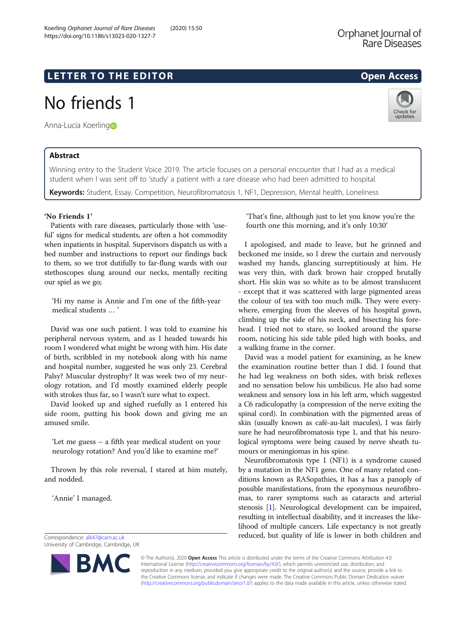# **LETTER TO THE EDITOR CONSIDERING ACCESS**

No friends 1

Anna-Lucia Koerling

# Abstract

Winning entry to the Student Voice 2019. The article focuses on a personal encounter that I had as a medical student when I was sent off to 'study' a patient with a rare disease who had been admitted to hospital.

Keywords: Student, Essay, Competition, Neurofibromatosis 1, NF1, Depression, Mental health, Loneliness

# 'No Friends 1'

Patients with rare diseases, particularly those with 'useful' signs for medical students, are often a hot commodity when inpatients in hospital. Supervisors dispatch us with a bed number and instructions to report our findings back to them, so we trot dutifully to far-flung wards with our stethoscopes slung around our necks, mentally reciting our spiel as we go;

'Hi my name is Annie and I'm one of the fifth-year medical students … '

David was one such patient. I was told to examine his peripheral nervous system, and as I headed towards his room I wondered what might be wrong with him. His date of birth, scribbled in my notebook along with his name and hospital number, suggested he was only 23. Cerebral Palsy? Muscular dystrophy? It was week two of my neurology rotation, and I'd mostly examined elderly people with strokes thus far, so I wasn't sure what to expect.

David looked up and sighed ruefully as I entered his side room, putting his book down and giving me an amused smile.

'Let me guess – a fifth year medical student on your neurology rotation? And you'd like to examine me?'

Thrown by this role reversal, I stared at him mutely, and nodded.

'Annie' I managed.

Correspondence: [alk47@cam.ac.uk](mailto:alk47@cam.ac.uk) University of Cambridge, Cambridge, UK

R,

'That's fine, although just to let you know you're the fourth one this morning, and it's only 10:30'

I apologised, and made to leave, but he grinned and beckoned me inside, so I drew the curtain and nervously washed my hands, glancing surreptitiously at him. He was very thin, with dark brown hair cropped brutally short. His skin was so white as to be almost translucent - except that it was scattered with large pigmented areas the colour of tea with too much milk. They were everywhere, emerging from the sleeves of his hospital gown, climbing up the side of his neck, and bisecting his forehead. I tried not to stare, so looked around the sparse room, noticing his side table piled high with books, and a walking frame in the corner.

David was a model patient for examining, as he knew the examination routine better than I did. I found that he had leg weakness on both sides, with brisk reflexes and no sensation below his umbilicus. He also had some weakness and sensory loss in his left arm, which suggested a C6 radiculopathy (a compression of the nerve exiting the spinal cord). In combination with the pigmented areas of skin (usually known as café-au-lait macules), I was fairly sure he had neurofibromatosis type 1, and that his neurological symptoms were being caused by nerve sheath tumours or meningiomas in his spine.

Neurofibromatosis type 1 (NF1) is a syndrome caused by a mutation in the NF1 gene. One of many related conditions known as RASopathies, it has a has a panoply of possible manifestations, from the eponymous neurofibromas, to rarer symptoms such as cataracts and arterial stenosis [\[1](#page-2-0)]. Neurological development can be impaired, resulting in intellectual disability, and it increases the likelihood of multiple cancers. Life expectancy is not greatly reduced, but quality of life is lower in both children and

© The Author(s). 2020 **Open Access** This article is distributed under the terms of the Creative Commons Attribution 4.0 International License [\(http://creativecommons.org/licenses/by/4.0/](http://creativecommons.org/licenses/by/4.0/)), which permits unrestricted use, distribution, and reproduction in any medium, provided you give appropriate credit to the original author(s) and the source, provide a link to the Creative Commons license, and indicate if changes were made. The Creative Commons Public Domain Dedication waiver [\(http://creativecommons.org/publicdomain/zero/1.0/](http://creativecommons.org/publicdomain/zero/1.0/)) applies to the data made available in this article, unless otherwise stated.

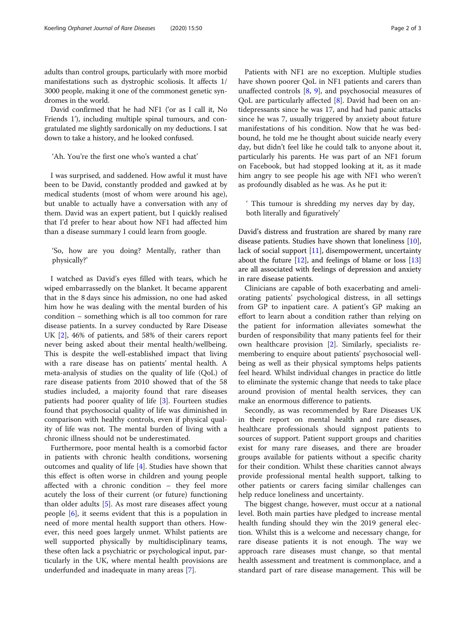adults than control groups, particularly with more morbid manifestations such as dystrophic scoliosis. It affects 1/ 3000 people, making it one of the commonest genetic syndromes in the world.

David confirmed that he had NF1 ('or as I call it, No Friends 1'), including multiple spinal tumours, and congratulated me slightly sardonically on my deductions. I sat down to take a history, and he looked confused.

# 'Ah. You're the first one who's wanted a chat'

I was surprised, and saddened. How awful it must have been to be David, constantly prodded and gawked at by medical students (most of whom were around his age), but unable to actually have a conversation with any of them. David was an expert patient, but I quickly realised that I'd prefer to hear about how NF1 had affected him than a disease summary I could learn from google.

# 'So, how are you doing? Mentally, rather than physically?'

I watched as David's eyes filled with tears, which he wiped embarrassedly on the blanket. It became apparent that in the 8 days since his admission, no one had asked him how he was dealing with the mental burden of his condition – something which is all too common for rare disease patients. In a survey conducted by Rare Disease UK [\[2](#page-2-0)], 46% of patients, and 58% of their carers report never being asked about their mental health/wellbeing. This is despite the well-established impact that living with a rare disease has on patients' mental health. A meta-analysis of studies on the quality of life (QoL) of rare disease patients from 2010 showed that of the 58 studies included, a majority found that rare diseases patients had poorer quality of life [\[3](#page-2-0)]. Fourteen studies found that psychosocial quality of life was diminished in comparison with healthy controls, even if physical quality of life was not. The mental burden of living with a chronic illness should not be underestimated.

Furthermore, poor mental health is a comorbid factor in patients with chronic health conditions, worsening outcomes and quality of life [[4](#page-2-0)]. Studies have shown that this effect is often worse in children and young people affected with a chronic condition – they feel more acutely the loss of their current (or future) functioning than older adults [[5\]](#page-2-0). As most rare diseases affect young people [[6\]](#page-2-0), it seems evident that this is a population in need of more mental health support than others. However, this need goes largely unmet. Whilst patients are well supported physically by multidisciplinary teams, these often lack a psychiatric or psychological input, particularly in the UK, where mental health provisions are underfunded and inadequate in many areas [\[7](#page-2-0)].

Patients with NF1 are no exception. Multiple studies have shown poorer QoL in NF1 patients and carers than unaffected controls  $[8, 9]$  $[8, 9]$  $[8, 9]$  $[8, 9]$ , and psychosocial measures of QoL are particularly affected [[8\]](#page-2-0). David had been on antidepressants since he was 17, and had had panic attacks since he was 7, usually triggered by anxiety about future manifestations of his condition. Now that he was bedbound, he told me he thought about suicide nearly every day, but didn't feel like he could talk to anyone about it, particularly his parents. He was part of an NF1 forum on Facebook, but had stopped looking at it, as it made him angry to see people his age with NF1 who weren't as profoundly disabled as he was. As he put it:

' This tumour is shredding my nerves day by day, both literally and figuratively'

David's distress and frustration are shared by many rare disease patients. Studies have shown that loneliness [\[10](#page-2-0)], lack of social support [\[11](#page-2-0)], disempowerment, uncertainty about the future  $[12]$  $[12]$  $[12]$ , and feelings of blame or loss  $[13]$  $[13]$  $[13]$ are all associated with feelings of depression and anxiety in rare disease patients.

Clinicians are capable of both exacerbating and ameliorating patients' psychological distress, in all settings from GP to inpatient care. A patient's GP making an effort to learn about a condition rather than relying on the patient for information alleviates somewhat the burden of responsibility that many patients feel for their own healthcare provision [[2\]](#page-2-0). Similarly, specialists remembering to enquire about patients' psychosocial wellbeing as well as their physical symptoms helps patients feel heard. Whilst individual changes in practice do little to eliminate the systemic change that needs to take place around provision of mental health services, they can make an enormous difference to patients.

Secondly, as was recommended by Rare Diseases UK in their report on mental health and rare diseases, healthcare professionals should signpost patients to sources of support. Patient support groups and charities exist for many rare diseases, and there are broader groups available for patients without a specific charity for their condition. Whilst these charities cannot always provide professional mental health support, talking to other patients or carers facing similar challenges can help reduce loneliness and uncertainty.

The biggest change, however, must occur at a national level. Both main parties have pledged to increase mental health funding should they win the 2019 general election. Whilst this is a welcome and necessary change, for rare disease patients it is not enough. The way we approach rare diseases must change, so that mental health assessment and treatment is commonplace, and a standard part of rare disease management. This will be